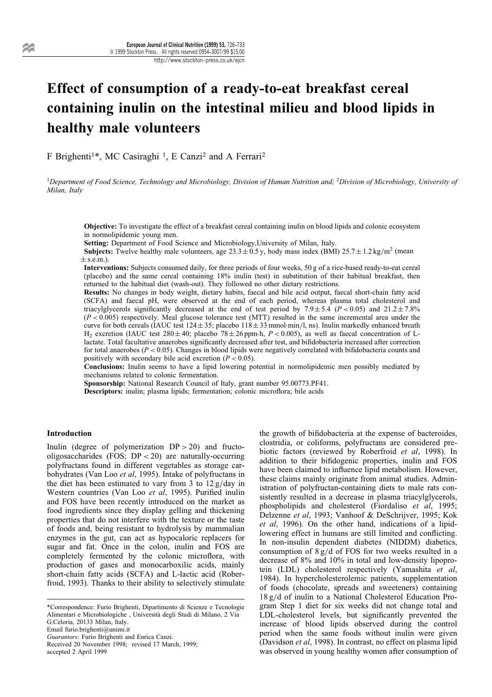# Effect of consumption of a ready-to-eat breakfast cereal containing inulin on the intestinal milieu and blood lipids in healthy male volunteers

F Brighenti<sup>1\*</sup>, MC Casiraghi<sup>1</sup>, E Canzi<sup>2</sup> and A Ferrari<sup>2</sup>

<sup>1</sup>Department of Food Science, Technology and Microbiology, Division of Human Nutrition and; <sup>2</sup>Division of Microbiology, University of Milan, Italy

Objective: To investigate the effect of a breakfast cereal containing inulin on blood lipids and colonic ecosystem in normolipidemic young men.

Setting: Department of Food Science and Microbiology,University of Milan, Italy.

**Subjects:** Twelve healthy male volunteers, age  $23.3 \pm 0.5$  y, body mass index (BMI)  $25.7 \pm 1.2$  kg/m<sup>2</sup> (mean  $\pm$  s.e.m.).

Interventions: Subjects consumed daily, for three periods of four weeks, 50 g of a rice-based ready-to-eat cereal (placebo) and the same cereal containing 18% inulin (test) in substitution of their habitual breakfast, then returned to the habitual diet (wash-out). They followed no other dietary restrictions.

Results: No changes in body weight, dietary habits, faecal and bile acid output, faecal short-chain fatty acid (SCFA) and faecal pH, were observed at the end of each period, whereas plasma total cholesterol and triacylglycerols significantly decreased at the end of test period by 7.9  $\pm$  5.4 (P < 0.05) and 21.2  $\pm$  7.8%  $(P < 0.005)$  respectively. Meal glucose tolerance test (MTT) resulted in the same incremental area under the curve for both cereals (IAUC test  $124 \pm 35$ ; placebo  $118 \pm 33$  mmol $\cdot$ min/l, ns). Inulin markedly enhanced breath  $H_2$  excretion (IAUC test 280 ± 40; placebo 78 ± 26 ppm h,  $P < 0.005$ ), as well as faecal concentration of Llactate. Total facultative anaerobes significantly decreased after test, and bifidobacteria increased after correction for total anaerobes ( $P < 0.05$ ). Changes in blood lipids were negatively correlated with bifidobacteria counts and positively with secondary bile acid excretion  $(P < 0.05)$ .

Conclusions: Inulin seems to have a lipid lowering potential in normolipidemic men possibly mediated by mechanisms related to colonic fermentation.

Sponsorship: National Research Council of Italy, grant number 95.00773.PF41.

**Descriptors:** inulin; plasma lipids; fermentation; colonic microflora; bile acids

## Introduction

Inulin (degree of polymerization  $DP > 20$ ) and fructooligosaccharides (FOS; DP < 20) are naturally-occurring polyfructans found in different vegetables as storage carbohydrates (Van Loo et al, 1995). Intake of polyfructans in the diet has been estimated to vary from 3 to  $12 g/day$  in Western countries (Van Loo et al, 1995). Purified inulin and FOS have been recently introduced on the market as food ingredients since they display gelling and thickening properties that do not interfere with the texture or the taste of foods and, being resistant to hydrolysis by mammalian enzymes in the gut, can act as hypocaloric replacers for sugar and fat. Once in the colon, inulin and FOS are completely fermented by the colonic microflora, with production of gases and monocarboxilic acids, mainly short-chain fatty acids (SCFA) and L-lactic acid (Roberfroid, 1993). Thanks to their ability to selectively stimulate

\*Correspondence: Furio Brighenti, Dipartimento di Scienze e Tecnologie Alimentari e Microbiologiche, Università degli Studi di Milano, 2 Via G.Celoria, 20133 Milan, Italy. Email furio.brighenti@unimi.it

Guarantors: Furio Brighenti and Enrica Canzi.

accepted 2 April 1999

the growth of bifidobacteria at the expense of bacteroides, clostridia, or coliforms, polyfructans are considered prebiotic factors (reviewed by Roberfroid et al, 1998). In addition to their bifidogenic properties, inulin and FOS have been claimed to influence lipid metabolism. However, these claims mainly originate from animal studies. Administration of polyfructan-containing diets to male rats consistently resulted in a decrease in plasma triacylglycerols, phospholipids and cholesterol (Fiordaliso et al, 1995; Delzenne et al, 1993; Vanhoof & DeSchrijver, 1995; Kok et al, 1996). On the other hand, indications of a lipidlowering effect in humans are still limited and conflicting. In non-insulin dependent diabetes (NIDDM) diabetics, consumption of  $8 g/d$  of FOS for two weeks resulted in a decrease of 8% and 10% in total and low-density lipoprotein (LDL) cholesterol respectively (Yamashita et al, 1984). In hypercholesterolemic patients, supplementation of foods (chocolate, spreads and sweeteners) containing  $18 g/d$  of inulin to a National Cholesterol Education Program Step 1 diet for six weeks did not change total and LDL-cholesterol levels, but significantly prevented the increase of blood lipids observed during the control period when the same foods without inulin were given (Davidson et al, 1998). In contrast, no effect on plasma lipid was observed in young healthy women after consumption of

Received 20 November 1998; revised 17 March, 1999;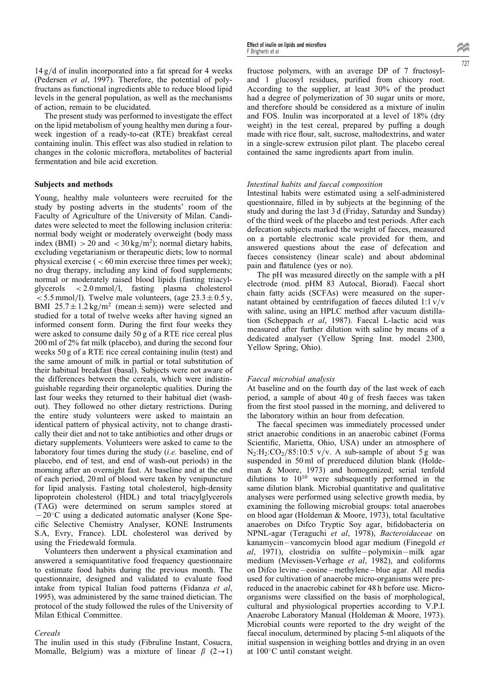$14 \text{ g}/d$  of inulin incorporated into a fat spread for 4 weeks (Pedersen et al, 1997). Therefore, the potential of polyfructans as functional ingredients able to reduce blood lipid levels in the general population, as well as the mechanisms of action, remain to be elucidated.

The present study was performed to investigate the effect on the lipid metabolism of young healthy men during a fourweek ingestion of a ready-to-eat (RTE) breakfast cereal containing inulin. This effect was also studied in relation to changes in the colonic microflora, metabolites of bacterial fermentation and bile acid excretion.

## Subjects and methods

Young, healthy male volunteers were recruited for the study by posting adverts in the students' room of the Faculty of Agriculture of the University of Milan. Candidates were selected to meet the following inclusion criteria: normal body weight or moderately overweight (body mass index (BMI)  $> 20$  and  $< 30 \text{ kg/m}^2$ ); normal dietary habits, excluding vegetarianism or therapeutic diets; low to normal physical exercise  $( $60 \text{ min}$  exercise three times per week);$ no drug therapy, including any kind of food supplements; normal or moderately raised blood lipids (fasting triacylglycerols  $\langle 2.0 \text{ mmol/l}, \text{fasting plasma cholesterol} \rangle$  $<$  5.5 mmol/l). Twelve male volunteers, (age  $23.3 \pm 0.5$  y, BMI  $25.7 \pm 1.2 \text{ kg/m}^2$  (mean  $\pm$  sem)) were selected and studied for a total of twelve weeks after having signed an informed consent form. During the first four weeks they were asked to consume daily 50 g of a RTE rice cereal plus 200 ml of 2% fat milk (placebo), and during the second four weeks 50 g of a RTE rice cereal containing inulin (test) and the same amount of milk in partial or total substitution of their habitual breakfast (basal). Subjects were not aware of the differences between the cereals, which were indistinguishable regarding their organoleptic qualities. During the last four weeks they returned to their habitual diet (washout). They followed no other dietary restrictions. During the entire study volunteers were asked to maintain an identical pattern of physical activity, not to change drastically their diet and not to take antibiotics and other drugs or dietary supplements. Volunteers were asked to came to the laboratory four times during the study *(i.e.* baseline, end of placebo, end of test, and end of wash-out periods) in the morning after an overnight fast. At baseline and at the end of each period, 20 ml of blood were taken by venipuncture for lipid analysis. Fasting total cholesterol, high-density lipoprotein cholesterol (HDL) and total triacylglycerols (TAG) were determined on serum samples stored at  $-20$ °C using a dedicated automatic analyser (Kone Specific Selective Chemistry Analyser, KONE Instruments S.A, Evry, France). LDL cholesterol was derived by using the Friedewald formula.

Volunteers then underwent a physical examination and answered a semiquantitative food frequency questionnaire to estimate food habits during the previous month. The questionnaire, designed and validated to evaluate food intake from typical Italian food patterns (Fidanza et al, 1995), was administered by the same trained dietician. The protocol of the study followed the rules of the University of Milan Ethical Committee.

#### Cereals

The inulin used in this study (Fibruline Instant, Cosucra, Momalle, Belgium) was a mixture of linear  $\beta$  (2 $\rightarrow$ 1)

fructose polymers, with an average DP of 7 fructosyland 1 glucosyl residues, purified from chicory root. According to the supplier, at least 30% of the product had a degree of polymerization of 30 sugar units or more, and therefore should be considered as a mixture of inulin and FOS. Inulin was incorporated at a level of 18% (dry weight) in the test cereal, prepared by puffing a dough made with rice flour, salt, sucrose, maltodextrins, and water in a single-screw extrusion pilot plant. The placebo cereal contained the same ingredients apart from inulin.

#### Intestinal habits and faecal composition

Intestinal habits were estimated using a self-administered questionnaire, filled in by subjects at the beginning of the study and during the last 3 d (Friday, Saturday and Sunday) of the third week of the placebo and test periods. After each defecation subjects marked the weight of faeces, measured on a portable electronic scale provided for them, and answered questions about the ease of defecation and faeces consistency (linear scale) and about abdominal pain and flatulence (yes or no).

The pH was measured directly on the sample with a pH electrode (mod. pHM 83 Autocal, Biorad). Faecal short chain fatty acids (SCFAs) were measured on the supernatant obtained by centrifugation of faeces diluted  $1:1 \text{ v/v}$ with saline, using an HPLC method after vacuum distillation (Scheppach et al, 1987). Faecal L-lactic acid was measured after further dilution with saline by means of a dedicated analyser (Yellow Spring Inst. model 2300, Yellow Spring, Ohio).

## Faecal microbial analysis

At baseline and on the fourth day of the last week of each period, a sample of about 40 g of fresh faeces was taken from the first stool passed in the morning, and delivered to the laboratory within an hour from defecation.

The faecal specimen was immediately processed under strict anaerobic conditions in an anaerobic cabinet (Forma Scientific, Marietta, Ohio, USA) under an atmosphere of  $N_2:H_2:CO_2/85:10:5 \text{ v/v. A sub-sample of about } 5 \text{ g was}$ suspended in 50 ml of prereduced dilution blank (Holdeman & Moore, 1973) and homogenized; serial tenfold dilutions to 10<sup>10</sup> were subsequently performed in the same dilution blank. Microbial quantitative and qualitative analyses were performed using selective growth media, by examining the following microbial groups: total anaerobes on blood agar (Holdeman & Moore, 1973), total facultative anaerobes on Difco Tryptic Soy agar, bifidobacteria on NPNL-agar (Teraguchi et al, 1978), Bacteroidaceae on kanamycin-vancomycin blood agar medium (Finegold et al, 1971), clostridia on sulfite  $-polymixin – milk agar$ medium (Mevissen-Verhage et al, 1982), and coliforms on Difco levine - eosine - methylene - blue agar. All media used for cultivation of anaerobe micro-organisms were prereduced in the anaerobic cabinet for 48 h before use. Microorganisms were classified on the basis of morphological, cultural and physiological properties according to V.P.I. Anaerobe Laboratory Manual (Holdeman & Moore, 1973). Microbial counts were reported to the dry weight of the faecal inoculum, determined by placing 5-ml aliquots of the initial suspension in weighing bottles and drying in an oven at  $100^{\circ}$ C until constant weight.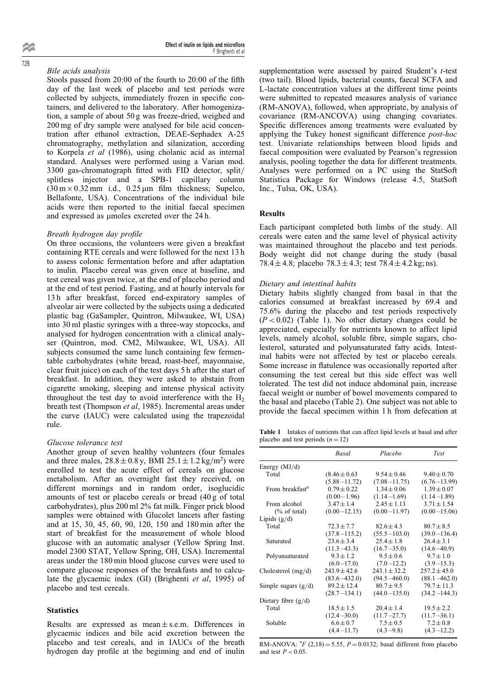## Bile acids analysis

Stools passed from  $20:00$  of the fourth to  $20:00$  of the fifth day of the last week of placebo and test periods were collected by subjects, immediately frozen in specific containers, and delivered to the laboratory. After homogenization, a sample of about 50 g was freeze-dried, weighed and 200 mg of dry sample were analysed for bile acid concentration after ethanol extraction, DEAE-Sephadex A-25 chromatography, methylation and silanization, according to Korpela et al (1986), using cholanic acid as internal standard. Analyses were performed using a Varian mod.  $3300$  gas-chromatograph fitted with FID detector, split/ splitless injector and a SPB-1 capillary column  $(30 \text{ m} \times 0.32 \text{ mm}$  i.d., 0.25  $\mu$ m film thickness; Supelco, Bellafonte, USA). Concentrations of the individual bile acids were then reported to the initial faecal specimen and expressed as umoles excreted over the 24 h.

#### Breath hydrogen day profile

On three occasions, the volunteers were given a breakfast containing RTE cereals and were followed for the next 13 h to assess colonic fermentation before and after adaptation to inulin. Placebo cereal was given once at baseline, and test cereal was given twice, at the end of placebo period and at the end of test period. Fasting, and at hourly intervals for 13 h after breakfast, forced end-expiratory samples of alveolar air were collected by the subjects using a dedicated plastic bag (GaSampler, Quintron, Milwaukee, WI, USA) into 30 ml plastic syringes with a three-way stopcocks, and analysed for hydrogen concentration with a clinical analyser (Quintron, mod. CM2, Milwaukee, WI, USA). All subjects consumed the same lunch containing few fermentable carbohydrates (white bread, roast-beef, mayonnaise, clear fruit juice) on each of the test days 5 h after the start of breakfast. In addition, they were asked to abstain from cigarette smoking, sleeping and intense physical activity throughout the test day to avoid interference with the  $H<sub>2</sub>$ breath test (Thompson et al, 1985). Incremental areas under the curve (IAUC) were calculated using the trapezoidal rule.

#### Glucose tolerance test

Another group of seven healthy volunteers (four females and three males,  $28.8 \pm 0.8$  y, BMI  $25.1 \pm 1.2$  kg/m<sup>2</sup>) were enrolled to test the acute effect of cereals on glucose metabolism. After an overnight fast they received, on different mornings and in random order, isoglucidic amounts of test or placebo cereals or bread (40 g of total carbohydrates), plus 200 ml 2% fat milk. Finger prick blood samples were obtained with Glucolet lancets after fasting and at 15, 30, 45, 60, 90, 120, 150 and 180 min after the start of breakfast for the measurement of whole blood glucose with an automatic analyser (Yellow Spring Inst. model 2300 STAT, Yellow Spring, OH, USA). Incremental areas under the 180 min blood glucose curves were used to compare glucose responses of the breakfasts and to calculate the glycaemic index (GI) (Brighenti et al, 1995) of placebo and test cereals.

## **Statistics**

Results are expressed as mean  $\pm$  s.e.m. Differences in glycaemic indices and bile acid excretion between the placebo and test cereals, and in IAUCs of the breath hydrogen day profile at the beginning and end of inulin supplementation were assessed by paired Student's *t*-test (two tail). Blood lipids, bacterial counts, faecal SCFA and L-lactate concentration values at the different time points were submitted to repeated measures analysis of variance (RM-ANOVA), followed, when appropriate, by analysis of covariance (RM-ANCOVA) using changing covariates. Specific differences among treatments were evaluated by applying the Tukey honest significant difference *post-hoc* test. Univariate relationships between blood lipids and faecal composition were evaluated by Pearson's regression analysis, pooling together the data for different treatments. Analyses were performed on a PC using the StatSoft Statistica Package for Windows (release 4.5, StatSoft Inc., Tulsa, OK, USA).

## Results

Each participant completed both limbs of the study. All cereals were eaten and the same level of physical activity was maintained throughout the placebo and test periods. Body weight did not change during the study (basal 78.4  $\pm$  4.8; placebo 78.3  $\pm$  4.3; test 78.4  $\pm$  4.2 kg; ns).

#### Dietary and intestinal habits

Dietary habits slightly changed from basal in that the calories consumed at breakfast increased by 69.4 and 75.6% during the placebo and test periods respectively  $(P < 0.02)$  (Table 1). No other dietary changes could be appreciated, especially for nutrients known to affect lipid levels, namely alcohol, soluble fibre, simple sugars, cholesterol, saturated and polyunsaturated fatty acids. Intestinal habits were not affected by test or placebo cereals. Some increase in flatulence was occasionally reported after consuming the test cereal but this side effect was well tolerated. The test did not induce abdominal pain, increase faecal weight or number of bowel movements compared to the basal and placebo (Table 2). One subject was not able to provide the faecal specimen within 1 h from defecation at

Table 1 Intakes of nutrients that can affect lipid levels at basal and after placebo and test periods  $(n = 12)$ 

|                             | Basal             | Placebo          | <b>Test</b>      |
|-----------------------------|-------------------|------------------|------------------|
| Energy $(MJ/d)$             |                   |                  |                  |
| Total                       | $(8.46 \pm 0.63)$ | $9.54 \pm 0.46$  | $9.40 \pm 0.70$  |
|                             | $(5.88 - 11.72)$  | $(7.08 - 11.75)$ | $(6.76 - 13.99)$ |
| From breakfast <sup>a</sup> | $0.79 \pm 0.22$   | $1.34 \pm 0.06$  | $1.39 \pm 0.07$  |
|                             | $(0.00-1.96)$     | $(1.14 - 1.69)$  | $(1.14 - 1.89)$  |
| From alcohol                | $3.47 \pm 1.4$    | $2.45 \pm 1.13$  | $3.71 \pm 1.54$  |
| $(\%$ of total)             | $(0.00 - 12.15)$  | $(0.00 - 11.97)$ | $(0.00 - 15.06)$ |
| Lipids $(g/d)$              |                   |                  |                  |
| Total                       | $72.3 \pm 7.7$    | $82.6 \pm 4.3$   | $80.7 \pm 8.5$   |
|                             | $(37.8 - 115.2)$  | $(55.5 - 103.0)$ | $(39.0 - 136.4)$ |
| Saturated                   | $23.6 \pm 3.4$    | $25.4 \pm 1.8$   | $26.4 \pm 3.1$   |
|                             | $(11.3 - 43.3)$   | $(16.7 - 35.0)$  | $(14.6 - 40.9)$  |
| Polyunsaturated             | $9.3 \pm 1.2$     | $9.5 \pm 0.6$    | $9.7 \pm 1.0$    |
|                             | $(6.0 - 17.0)$    | $(7.0 - 12.2)$   | $(3.9 - 15.3)$   |
| Cholesterol $(mg/d)$        | $243.9 \pm 42.6$  | $243.1 \pm 32.2$ | $257.2 + 45.0$   |
|                             | $(83.6 - 432.0)$  | $(94.5 - 460.0)$ | $(88.1 - 462.0)$ |
| Simple sugars $(g/d)$       | $89.2 \pm 12.4$   | $80.7 \pm 9.5$   | $79.7 \pm 11.3$  |
|                             | $(28.7 - 134.1)$  | $(44.0 - 135.0)$ | $(34.2 - 144.3)$ |
| Dietary fibre $(g/d)$       |                   |                  |                  |
| Total                       | $18.5 \pm 1.5$    | $20.4 \pm 1.4$   | $19.5 \pm 2.2$   |
|                             | $(12.4 - 30.0)$   | $(11.7 - 27.7)$  | $(11.7 - 36.1)$  |
| Soluble                     | $6.6 \pm 0.7$     | $7.5 \pm 0.5$    | $7.2 \pm 0.8$    |
|                             | $(4.4 - 11.7)$    | $(4.3 - 9.8)$    | $(4.3 - 12.2)$   |

RM-ANOVA:  ${}^{3}F$  (2,18) = 5.55,  $P = 0.0132$ ; basal different from placebo and test  $P < 0.05$ .

728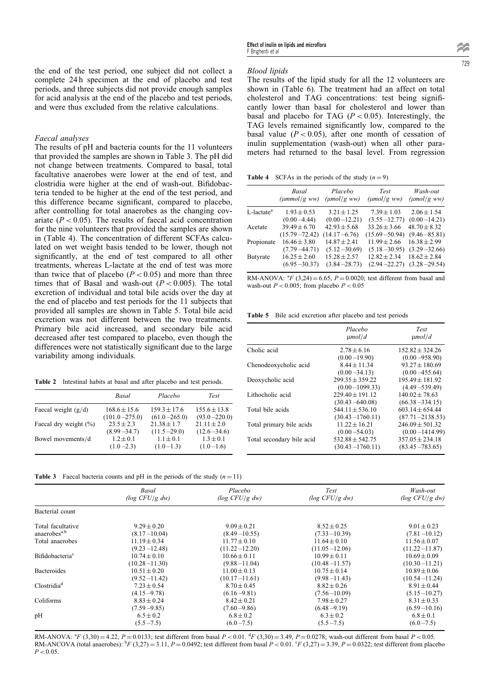the end of the test period, one subject did not collect a complete 24 h specimen at the end of placebo and test periods, and three subjects did not provide enough samples for acid analysis at the end of the placebo and test periods, and were thus excluded from the relative calculations.

#### Faecal analyses

The results of pH and bacteria counts for the 11 volunteers that provided the samples are shown in Table 3. The pH did not change between treatments. Compared to basal, total facultative anaerobes were lower at the end of test, and clostridia were higher at the end of wash-out. Bifidobacteria tended to be higher at the end of the test period, and this difference became significant, compared to placebo, after controlling for total anaerobes as the changing covariate ( $P < 0.05$ ). The results of faecal acid concentration for the nine volunteers that provided the samples are shown in (Table 4). The concentration of different SCFAs calculated on wet weight basis tended to be lower, though not significantly, at the end of test compared to all other treatments, whereas L-lactate at the end of test was more than twice that of placebo  $(P < 0.05)$  and more than three times that of Basal and wash-out  $(P < 0.005)$ . The total excretion of individual and total bile acids over the day at the end of placebo and test periods for the 11 subjects that provided all samples are shown in Table 5. Total bile acid excretion was not different between the two treatments. Primary bile acid increased, and secondary bile acid decreased after test compared to placebo, even though the differences were not statistically significant due to the large variability among individuals.

Table 2 Intestinal habits at basal and after placebo and test periods.

|                          | Basal             | Placebo          | <b>Test</b>      |
|--------------------------|-------------------|------------------|------------------|
| Faecal weight $(g/d)$    | $168.6 \pm 15.6$  | $159.3 \pm 17.6$ | $155.6 \pm 13.8$ |
|                          | $(101.0 - 275.0)$ | $(61.0 - 265.0)$ | $(93.0 - 220.0)$ |
| Faecal dry weight $(\%)$ | $23.5 + 2.3$      | $21.38 \pm 1.7$  | $21.11 \pm 2.0$  |
|                          | $(8.99 - 34.7)$   | $(11.5 - 29.0)$  | $(12.6 - 34.6)$  |
| Bowel movements/d        | $1.2 + 0.1$       | $1.1 \pm 0.1$    | $1.3 \pm 0.1$    |
|                          | $(1.0 - 2.3)$     | $(1.0 - 1.3)$    | $(1.0 - 1.6)$    |

## Blood lipids

The results of the lipid study for all the 12 volunteers are shown in (Table 6). The treatment had an affect on total cholesterol and TAG concentrations: test being significantly lower than basal for cholesterol and lower than basal and placebo for TAG  $(P < 0.05)$ . Interestingly, the TAG levels remained significantly low, compared to the basal value ( $P < 0.05$ ), after one month of cessation of inulin supplementation (wash-out) when all other parameters had returned to the basal level. From regression

**Table 4** SCFAs in the periods of the study  $(n = 9)$ 

|                           | Basal<br>$(\mu mmol/g\ ww)$ | Placebo<br>$(\mu mol/g$ ww) | Test<br>$(\mu mol/g \, ww)$ | Wash-out<br>$(\mu mol/g \, ww)$ |
|---------------------------|-----------------------------|-----------------------------|-----------------------------|---------------------------------|
| $L$ -lactate <sup>a</sup> | $1.93 \pm 0.53$             | $3.21 \pm 1.25$             | $7.39 \pm 1.03$             | $2.06 \pm 1.54$                 |
|                           | $(0.00 - 4.44)$             | $(0.00 - 12.21)$            | $(3.55 - 12.77)$            | $(0.00 - 14.21)$                |
| Acetate                   | $39.49 \pm 6.70$            | $42.93 \pm 5.68$            | $33.26 \pm 3.66$            | $48.70 \pm 8.32$                |
|                           | $(15.79 - 72.42)$           | $(14.17 - 6.76)$            | $(15.69 - 50.94)$           | $(9.46 - 85.81)$                |
| Propionate                | $16.46 \pm 3.80$            | $14.87 \pm 2.41$            | $11.99 \pm 2.66$            | $16.38 \pm 2.99$                |
|                           | $(7.79 - 44.71)$            | $(5.12 - 30.69)$            | $(5.18 - 30.95)$            | $(3.29 - 32.66)$                |
| Butyrate                  | $16.25 \pm 2.60$            | $15.28 \pm 2.57$            | $12.82 \pm 2.34$            | $18.62 \pm 2.84$                |
|                           | $(6.95 - 30.37)$            | $(3.84 - 28.73)$            | $(2.94 - 22.27)$            | $(3.28 - 29.54)$                |

RM-ANOVA:  ${}^{3}F$  (3,24) = 6.65,  $P = 0.0020$ ; test different from basal and wash-out  $P < 0.005$ ; from placebo  $P < 0.05$ 

Table 5 Bile acid excretion after placebo and test periods

|                           | Placebo<br>$\mu$ mol/d | <b>Test</b><br>$\mu$ mol/d |
|---------------------------|------------------------|----------------------------|
| Cholic acid               | $2.78 \pm 6.16$        | $152.82 + 324.26$          |
|                           | $(0.00 - 19.90)$       | $(0.00 - 958.90)$          |
| Chenodeoxycholic acid     | $8.44 \pm 11.34$       | $93.27 \pm 180.69$         |
|                           | $(0.00 - 34.13)$       | $(0.00 - 455.64)$          |
| Deoxycholic acid          | $299.35 + 359.22$      | $195.49 \pm 181.92$        |
|                           | $(0.00 - 1099.33)$     | $(4.49 - 539.49)$          |
| Lithocholic acid          | $229.40 \pm 191.12$    | $140.02 \pm 78.63$         |
|                           | $(30.43 - 640.08)$     | $(66.38 - 334.15)$         |
| Total bile acids          | $544.11 \pm 536.10$    | $603.14 + 654.44$          |
|                           | $(30.43 - 1760.11)$    | $(87.71 - 2138.53)$        |
| Total primary bile acids  | $11.22 \pm 16.21$      | $246.09 + 501.32$          |
|                           | $(0.00 - 54.03)$       | $(0.00 - 1414.99)$         |
| Total secondary bile acid | $532.88 + 542.75$      | $357.05 + 234.18$          |
|                           | $(30.43 - 1760.11)$    | $(83.45 - 783.65)$         |

| <b>Table 3</b> Faecal bacteria counts and pH in the periods of the study $(n=11)$ |  |  |  |  |  |  |  |  |  |  |  |  |  |  |
|-----------------------------------------------------------------------------------|--|--|--|--|--|--|--|--|--|--|--|--|--|--|
|-----------------------------------------------------------------------------------|--|--|--|--|--|--|--|--|--|--|--|--|--|--|

|                             | Basal                | Placebo              | Test                 | Wash-out          |
|-----------------------------|----------------------|----------------------|----------------------|-------------------|
|                             | $(\log CFU/g \, dw)$ | $(\log CFU/g \, dw)$ | $(\log CFU/g \, dw)$ | (log CFU/g dw)    |
| Bacterial count             |                      |                      |                      |                   |
| Total facultative           | $9.29 \pm 0.20$      | $9.09 \pm 0.21$      | $8.52 \pm 0.25$      | $9.01 \pm 0.23$   |
| anaerobes <sup>a,b</sup>    | $(8.17 - 10.04)$     | $(8.49 - 10.55)$     | $(7.33 - 10.39)$     | $(7.81 - 10.12)$  |
| Total anaerobes             | $11.19 \pm 0.34$     | $11.77 \pm 0.10$     | $11.64 \pm 0.10$     | $11.56 \pm 0.07$  |
|                             | $(9.23 - 12.48)$     | $(11.22 - 12.20)$    | $(11.05 - 12.06)$    | $(11.22 - 11.87)$ |
| Bifidobacteria <sup>c</sup> | $10.74 \pm 0.10$     | $10.66 \pm 0.11$     | $10.99 \pm 0.11$     | $10.69 \pm 0.09$  |
|                             | $(10.28 - 11.30)$    | $(9.88 - 11.04)$     | $(10.48 - 11.57)$    | $(10.30 - 11.21)$ |
| <b>Bacteroides</b>          | $10.51 \pm 0.20$     | $11.00 \pm 0.13$     | $10.75 \pm 0.14$     | $10.89 \pm 0.06$  |
|                             | $(9.52 - 11.42)$     | $(10.17 - 11.61)$    | $(9.98 - 11.43)$     | $(10.54 - 11.24)$ |
| Clostridia <sup>d</sup>     | $7.23 \pm 0.54$      | $8.70 \pm 0.45$      | $8.82 \pm 0.26$      | $8.91 \pm 0.44$   |
|                             | $(4.15 - 9.78)$      | $(6.16 - 9.81)$      | $(7.56 - 10.09)$     | $(5.15 - 10.27)$  |
| Coliforms                   | $8.83 \pm 0.24$      | $8.42 \pm 0.21$      | $7.98 \pm 0.27$      | $8.31 \pm 0.33$   |
|                             | $(7.59 - 9.85)$      | $(7.60 - 9.86)$      | $(6.48 - 9.19)$      | $(6.59 - 10.16)$  |
| pH                          | $6.5 \pm 0.2$        | $6.8 \pm 0.2$        | $6.3 \pm 0.2$        | $6.8 \pm 0.1$     |
|                             | $(5.5 - 7.5)$        | $(6.0 - 7.5)$        | $(5.5 - 7.5)$        | $(6.0 - 7.5)$     |

RM-ANOVA:  ${}^{a}F(3,30) = 4.22$ ,  $P = 0.0133$ ; test different from basal  $P < 0.01$ .  ${}^{d}F(3,30) = 3.49$ ,  $P = 0.0278$ ; wash-out different from basal  $P < 0.05$ . RM-ANCOVA (total anaerobes):  ${}^bF$  (3,27) = 3.11, P = 0.0492; test different from basal P < 0.01.  ${}^cF$  (3,27) = 3.39, P = 0.0322; test different from placebo  $P < 0.05$ .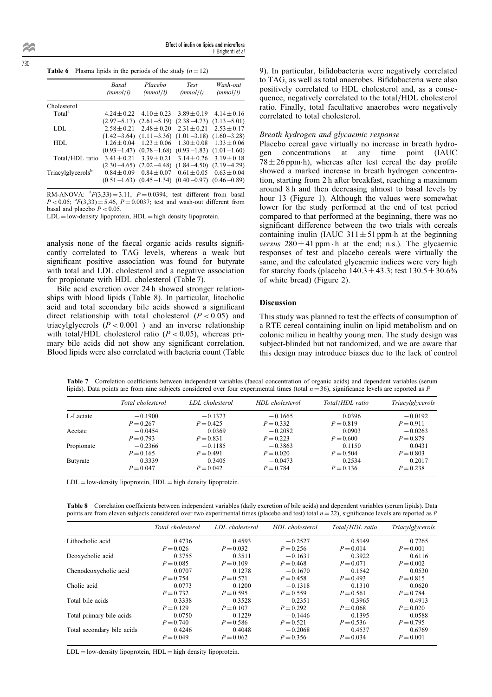730

|  | <b>Table 6</b> Plasma lipids in the periods of the study $(n=12)$ |
|--|-------------------------------------------------------------------|
|--|-------------------------------------------------------------------|

|                               | Basal<br>(mmol/l) | Placebo<br>(mmol/l) | <b>Test</b><br>(mmol/l) | Wash-out<br>(mmol/l)            |
|-------------------------------|-------------------|---------------------|-------------------------|---------------------------------|
| Cholesterol                   |                   |                     |                         |                                 |
| Total <sup>a</sup>            | $4.24 \pm 0.22$   | $4.10 \pm 0.23$     | $3.89 \pm 0.19$         | $4.14 \pm 0.16$                 |
|                               | $(2.97 - 5.17)$   | $(2.61 - 5.19)$     | $(2.38 - 4.73)$         | $(3.13 - 5.01)$                 |
| LDL.                          | $2.58 + 0.21$     | $2.48 \pm 0.20$     | $2.31 \pm 0.21$         | $2.53 \pm 0.17$                 |
|                               | $(1.42 - 3.64)$   | $(1.11 - 3.36)$     | $(1.01 - 3.18)$         | $(1.60 - 3.28)$                 |
| HDL                           | $1.26 \pm 0.04$   | $1.23 \pm 0.06$     | $1.30 \pm 0.08$         | $1.33 \pm 0.06$                 |
|                               | $(0.93 - 1.47)$   | $(0.78 - 1.68)$     | $(0.93 - 1.83)$         | $(1.01 - 1.60)$                 |
| Total/HDL ratio               | $3.41 \pm 0.21$   | $3.39 \pm 0.21$     | $3.14 \pm 0.26$         | $3.19 \pm 0.18$                 |
|                               | $(2.30 - 4.65)$   | $(2.02 - 4.48)$     | $(1.84 - 4.50)$         | $(2.19 - 4.29)$                 |
| Triacylglycerols <sup>b</sup> | $0.84 \pm 0.09$   | $0.84 \pm 0.07$     | $0.61 \pm 0.05$         | $0.63 \pm 0.04$                 |
|                               | $(0.51 - 1.63)$   | $(0.45 - 1.34)$     |                         | $(0.40 - 0.97)$ $(0.46 - 0.89)$ |

RM-ANOVA:  ${}^{a}F(3,33) = 3.11$ ,  $P = 0.0394$ ; test different from basal  $P < 0.05$ ;  ${}^{b}F(3,33) = 5.46$ ,  $P = 0.0037$ ; test and wash-out different from basal and placebo  $P < 0.05$ .

 $LDL = low$ -density lipoprotein,  $HDL = high$  density lipoprotein.

analysis none of the faecal organic acids results significantly correlated to TAG levels, whereas a weak but significant positive association was found for butyrate with total and LDL cholesterol and a negative association for propionate with HDL cholesterol (Table 7).

Bile acid excretion over 24 h showed stronger relationships with blood lipids (Table 8). In particular, litocholic acid and total secondary bile acids showed a significant direct relationship with total cholesterol  $(P < 0.05)$  and triacylglycerols  $(P < 0.001)$  and an inverse relationship with total/HDL cholesterol ratio ( $P < 0.05$ ), whereas primary bile acids did not show any significant correlation. Blood lipids were also correlated with bacteria count (Table

9). In particular, bifidobacteria were negatively correlated to TAG, as well as total anaerobes. Bifidobacteria were also positively correlated to HDL cholesterol and, as a consequence, negatively correlated to the total/HDL cholesterol ratio. Finally, total facultative anaerobes were negatively correlated to total cholesterol.

## Breath hydrogen and glycaemic response

Placebo cereal gave virtually no increase in breath hydrogen concentrations at any time point (IAUC gen concentrations at any time point (IAUC  $78 \pm 26$  ppm h), whereas after test cereal the day profile showed a marked increase in breath hydrogen concentration, starting from 2 h after breakfast, reaching a maximum around 8 h and then decreasing almost to basal levels by hour 13 (Figure 1). Although the values were somewhat lower for the study performed at the end of test period compared to that performed at the beginning, there was no significant difference between the two trials with cereals containing inulin (IAUC  $311 \pm 51$  ppm h at the beginning *versus*  $280 \pm 41$  ppm  $\cdot$  h at the end; n.s.). The glycaemic responses of test and placebo cereals were virtually the same, and the calculated glycaemic indices were very high for starchy foods (placebo  $140.3 \pm 43.3$ ; test  $130.5 \pm 30.6\%$ of white bread) (Figure 2).

## Discussion

This study was planned to test the effects of consumption of a RTE cereal containing inulin on lipid metabolism and on colonic milieu in healthy young men. The study design was subject-blinded but not randomized, and we are aware that this design may introduce biases due to the lack of control

Table 7 Correlation coefficients between independent variables (faecal concentration of organic acids) and dependent variables (serum lipids). Data points are from nine subjects considered over four experimental times (total  $n = 36$ ), significance levels are reported as P

|            | Total cholesterol | LDL cholesterol | HDL cholesterol | Total/HDL ratio | Triacylglycerols |
|------------|-------------------|-----------------|-----------------|-----------------|------------------|
| L-Lactate  | $-0.1900$         | $-0.1373$       | $-0.1665$       | 0.0396          | $-0.0192$        |
|            | $P = 0.267$       | $P = 0.425$     | $P = 0.332$     | $P = 0.819$     | $P = 0.911$      |
| Acetate    | $-0.0454$         | 0.0369          | $-0.2082$       | 0.0903          | $-0.0263$        |
|            | $P = 0.793$       | $P = 0.831$     | $P = 0.223$     | $P = 0.600$     | $P = 0.879$      |
| Propionate | $-0.2366$         | $-0.1185$       | $-0.3863$       | 0.1150          | 0.0431           |
|            | $P = 0.165$       | $P = 0.491$     | $P = 0.020$     | $P = 0.504$     | $P = 0.803$      |
| Butyrate   | 0.3339            | 0.3405          | $-0.0473$       | 0.2534          | 0.2017           |
|            | $P = 0.047$       | $P = 0.042$     | $P = 0.784$     | $P = 0.136$     | $P = 0.238$      |

 $LDL = low$ -density lipoprotein,  $HDL = high$  density lipoprotein.

Table 8 Correlation coefficients between independent variables (daily excretion of bile acids) and dependent variables (serum lipids). Data points are from eleven subjects considered over two experimental times (placebo and test) total  $n = 22$ ), significance levels are reported as P

|                            | Total cholesterol | LDL cholesterol | HDL cholesterol | Total/HDL ratio | Triacylglycerols |
|----------------------------|-------------------|-----------------|-----------------|-----------------|------------------|
| Lithocholic acid           | 0.4736            | 0.4593          | $-0.2527$       | 0.5149          | 0.7265           |
|                            | $P = 0.026$       | $P = 0.032$     | $P = 0.256$     | $P = 0.014$     | $P = 0.001$      |
| Deoxycholic acid           | 0.3755            | 0.3511          | $-0.1631$       | 0.3922          | 0.6116           |
|                            | $P = 0.085$       | $P = 0.109$     | $P = 0.468$     | $P = 0.071$     | $P = 0.002$      |
| Chenodeoxycholic acid      | 0.0707            | 0.1278          | $-0.1670$       | 0.1542          | 0.0530           |
|                            | $P = 0.754$       | $P = 0.571$     | $P = 0.458$     | $P = 0.493$     | $P = 0.815$      |
| Cholic acid                | 0.0773            | 0.1200          | $-0.1318$       | 0.1310          | 0.0620           |
|                            | $P = 0.732$       | $P = 0.595$     | $P = 0.559$     | $P = 0.561$     | $P = 0.784$      |
| Total bile acids           | 0.3338            | 0.3528          | $-0.2351$       | 0.3965          | 0.4913           |
|                            | $P = 0.129$       | $P = 0.107$     | $P = 0.292$     | $P = 0.068$     | $P = 0.020$      |
| Total primary bile acids   | 0.0750            | 0.1229          | $-0.1446$       | 0.1395          | 0.0588           |
|                            | $P = 0.740$       | $P = 0.586$     | $P = 0.521$     | $P = 0.536$     | $P = 0.795$      |
| Total secondary bile acids | 0.4246            | 0.4048          | $-0.2068$       | 0.4537          | 0.6769           |
|                            | $P = 0.049$       | $P = 0.062$     | $P = 0.356$     | $P = 0.034$     | $P = 0.001$      |

 $LDL = low-density lipoprotein, HDL = high density lipoprotein.$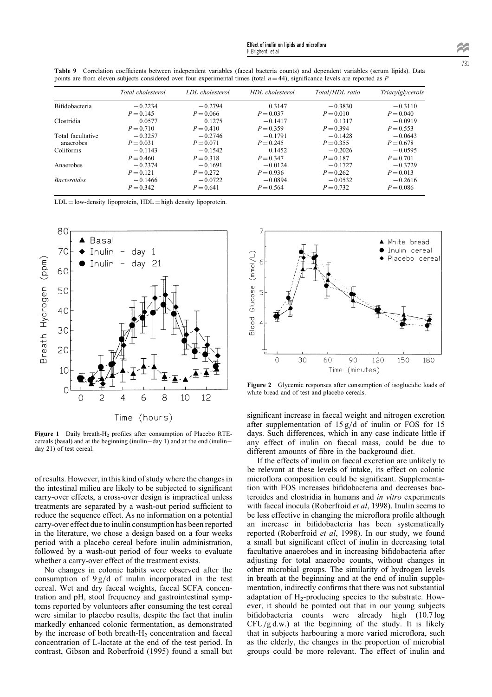Table 9 Correlation coefficients between independent variables (faecal bacteria counts) and dependent variables (serum lipids). Data points are from eleven subjects considered over four experimental times (total  $n = 44$ ), significance levels are reported as P

|                       | Total cholesterol | LDL cholesterol | HDL cholesterol | Total/HDL ratio | Triacylglycerols |
|-----------------------|-------------------|-----------------|-----------------|-----------------|------------------|
| <b>Bifidobacteria</b> | $-0.2234$         | $-0.2794$       | 0.3147          | $-0.3830$       | $-0.3110$        |
|                       | $P = 0.145$       | $P = 0.066$     | $P = 0.037$     | $P = 0.010$     | $P = 0.040$      |
| Clostridia            | 0.0577            | 0.1275          | $-0.1417$       | 0.1317          | $-0.0919$        |
|                       | $P = 0.710$       | $P = 0.410$     | $P = 0.359$     | $P = 0.394$     | $P = 0.553$      |
| Total facultative     | $-0.3257$         | $-0.2746$       | $-0.1791$       | $-0.1428$       | $-0.0643$        |
| anaerobes             | $P = 0.031$       | $P = 0.071$     | $P = 0.245$     | $P = 0.355$     | $P = 0.678$      |
| Coliforms             | $-0.1143$         | $-0.1542$       | 0.1452          | $-0.2026$       | $-0.0595$        |
|                       | $P = 0.460$       | $P = 0.318$     | $P = 0.347$     | $P = 0.187$     | $P = 0.701$      |
| Anaerobes             | $-0.2374$         | $-0.1691$       | $-0.0124$       | $-0.1727$       | $-0.3729$        |
|                       | $P = 0.121$       | $P = 0.272$     | $P = 0.936$     | $P = 0.262$     | $P = 0.013$      |
| <b>Bacteroides</b>    | $-0.1466$         | $-0.0722$       | $-0.0894$       | $-0.0532$       | $-0.2616$        |
|                       | $P = 0.342$       | $P = 0.641$     | $P = 0.564$     | $P = 0.732$     | $P = 0.086$      |

 $LDL = low$ -density lipoprotein,  $HDL = high$  density lipoprotein.



Figure 1 Daily breath- $H_2$  profiles after consumption of Placebo RTEcereals (basal) and at the beginning (inulin  $-day 1$ ) and at the end (inulin  $$ day 21) of test cereal.

of results. However, in this kind of study where the changes in the intestinal milieu are likely to be subjected to significant carry-over effects, a cross-over design is impractical unless treatments are separated by a wash-out period sufficient to reduce the sequence effect. As no information on a potential carry-over effect due to inulin consumption has been reported in the literature, we chose a design based on a four weeks period with a placebo cereal before inulin administration, followed by a wash-out period of four weeks to evaluate whether a carry-over effect of the treatment exists.

No changes in colonic habits were observed after the consumption of  $9 g/d$  of inulin incorporated in the test cereal. Wet and dry faecal weights, faecal SCFA concentration and pH, stool frequency and gastrointestinal symptoms reported by volunteers after consuming the test cereal were similar to placebo results, despite the fact that inulin markedly enhanced colonic fermentation, as demonstrated by the increase of both breath- $H_2$  concentration and faecal concentration of L-lactate at the end of the test period. In contrast, Gibson and Roberfroid (1995) found a small but



Figure 2 Glycemic responses after consumption of isoglucidic loads of white bread and of test and placebo cereals.

significant increase in faecal weight and nitrogen excretion after supplementation of  $15 g/d$  of inulin or FOS for 15 days. Such differences, which in any case indicate little if any effect of inulin on faecal mass, could be due to different amounts of fibre in the background diet.

If the effects of inulin on faecal excretion are unlikely to be relevant at these levels of intake, its effect on colonic microflora composition could be significant. Supplementation with FOS increases bifidobacteria and decreases bacteroides and clostridia in humans and in vitro experiments with faecal inocula (Roberfroid *et al*, 1998). Inulin seems to be less effective in changing the microflora profile although an increase in bifidobacteria has been systematically reported (Roberfroid et al, 1998). In our study, we found a small but significant effect of inulin in decreasing total facultative anaerobes and in increasing bifidobacteria after adjusting for total anaerobe counts, without changes in other microbial groups. The similarity of hydrogen levels in breath at the beginning and at the end of inulin supplementation, indirectly confirms that there was not substantial adaptation of  $H_2$ -producing species to the substrate. However, it should be pointed out that in our young subjects bifidobacteria counts were already high (10.7 log  $CFU/g d.w.$ ) at the beginning of the study. It is likely that in subjects harbouring a more varied microflora, such as the elderly, the changes in the proportion of microbial groups could be more relevant. The effect of inulin and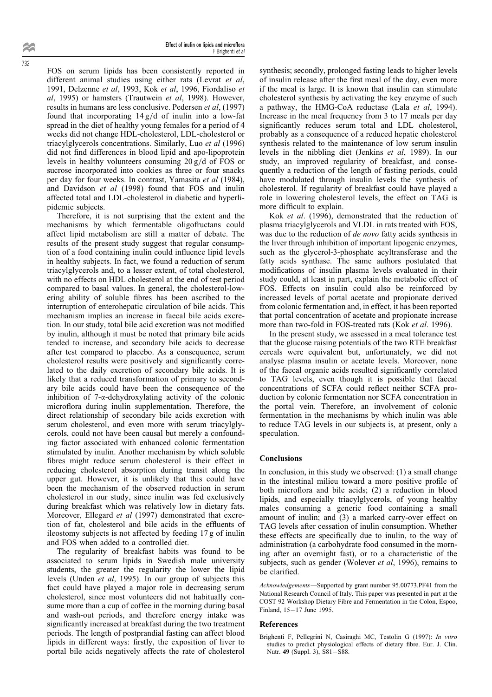FOS on serum lipids has been consistently reported in different animal studies using either rats (Levrat et al, 1991, Delzenne et al, 1993, Kok et al, 1996, Fiordaliso et  $al$ , 1995) or hamsters (Trautwein et  $al$ , 1998). However, results in humans are less conclusive. Pedersen et al, (1997) found that incorporating  $14 g/d$  of inulin into a low-fat spread in the diet of healthy young females for a period of 4 weeks did not change HDL-cholesterol, LDL-cholesterol or triacylglycerols concentrations. Similarly, Luo et al (1996) did not find differences in blood lipid and apo-lipoprotein levels in healthy volunteers consuming  $20 g/d$  of FOS or sucrose incorporated into cookies as three or four snacks per day for four weeks. In contrast, Yamasita et al (1984), and Davidson et al (1998) found that FOS and inulin affected total and LDL-cholesterol in diabetic and hyperlipidemic subjects.

Therefore, it is not surprising that the extent and the mechanisms by which fermentable oligofructans could affect lipid metabolism are still a matter of debate. The results of the present study suggest that regular consumption of a food containing inulin could influence lipid levels in healthy subjects. In fact, we found a reduction of serum triacylglycerols and, to a lesser extent, of total cholesterol, with no effects on HDL cholesterol at the end of test period compared to basal values. In general, the cholesterol-lowering ability of soluble fibres has been ascribed to the interruption of enterohepatic circulation of bile acids. This mechanism implies an increase in faecal bile acids excretion. In our study, total bile acid excretion was not modified by inulin, although it must be noted that primary bile acids tended to increase, and secondary bile acids to decrease after test compared to placebo. As a consequence, serum cholesterol results were positively and significantly correlated to the daily excretion of secondary bile acids. It is likely that a reduced transformation of primary to secondary bile acids could have been the consequence of the inhibition of  $7-\alpha$ -dehydroxylating activity of the colonic microflora during inulin supplementation. Therefore, the direct relationship of secondary bile acids excretion with serum cholesterol, and even more with serum triacylglycerols, could not have been causal but merely a confounding factor associated with enhanced colonic fermentation stimulated by inulin. Another mechanism by which soluble fibres might reduce serum cholesterol is their effect in reducing cholesterol absorption during transit along the upper gut. However, it is unlikely that this could have been the mechanism of the observed reduction in serum cholesterol in our study, since inulin was fed exclusively during breakfast which was relatively low in dietary fats. Moreover, Ellegard et al (1997) demonstrated that excretion of fat, cholesterol and bile acids in the effluents of ileostomy subjects is not affected by feeding 17 g of inulin and FOS when added to a controlled diet.

The regularity of breakfast habits was found to be associated to serum lipids in Swedish male university students, the greater the regularity the lower the lipid levels (Unden et al, 1995). In our group of subjects this fact could have played a major role in decreasing serum cholesterol, since most volunteers did not habitually consume more than a cup of coffee in the morning during basal and wash-out periods, and therefore energy intake was significantly increased at breakfast during the two treatment periods. The length of postprandial fasting can affect blood lipids in different ways: firstly, the exposition of liver to portal bile acids negatively affects the rate of cholesterol

synthesis; secondly, prolonged fasting leads to higher levels of insulin release after the first meal of the day, even more if the meal is large. It is known that insulin can stimulate cholesterol synthesis by activating the key enzyme of such a pathway, the HMG-CoA reductase (Lala et al, 1994). Increase in the meal frequency from 3 to 17 meals per day significantly reduces serum total and LDL cholesterol, probably as a consequence of a reduced hepatic cholesterol synthesis related to the maintenance of low serum insulin levels in the nibbling diet (Jenkins et al, 1989). In our study, an improved regularity of breakfast, and consequently a reduction of the length of fasting periods, could have modulated through insulin levels the synthesis of cholesterol. If regularity of breakfast could have played a role in lowering cholesterol levels, the effect on TAG is more difficult to explain.

Kok et al. (1996), demonstrated that the reduction of plasma triacylglycerols and VLDL in rats treated with FOS, was due to the reduction of *de novo* fatty acids synthesis in the liver through inhibition of important lipogenic enzymes, such as the glycerol-3-phosphate acyltransferase and the fatty acids synthase. The same authors postulated that modifications of insulin plasma levels evaluated in their study could, at least in part, explain the metabolic effect of FOS. Effects on insulin could also be reinforced by increased levels of portal acetate and propionate derived from colonic fermentation and, in effect, it has been reported that portal concentration of acetate and propionate increase more than two-fold in FOS-treated rats (Kok et al. 1996).

In the present study, we assessed in a meal tolerance test that the glucose raising potentials of the two RTE breakfast cereals were equivalent but, unfortunately, we did not analyse plasma insulin or acetate levels. Moreover, none of the faecal organic acids resulted significantly correlated to TAG levels, even though it is possible that faecal concentrations of SCFA could reflect neither SCFA production by colonic fermentation nor SCFA concentration in the portal vein. Therefore, an involvement of colonic fermentation in the mechanisms by which inulin was able to reduce TAG levels in our subjects is, at present, only a speculation.

## Conclusions

In conclusion, in this study we observed: (1) a small change in the intestinal milieu toward a more positive profile of both microflora and bile acids;  $(2)$  a reduction in blood lipids, and especially triacylglycerols, of young healthy males consuming a generic food containing a small amount of inulin; and (3) a marked carry-over effect on TAG levels after cessation of inulin consumption. Whether these effects are specifically due to inulin, to the way of administration (a carbohydrate food consumed in the morning after an overnight fast), or to a characteristic of the subjects, such as gender (Wolever et al, 1996), remains to be clarified.

Acknowledgements—Supported by grant number 95.00773.PF41 from the National Research Council of Italy. This paper was presented in part at the COST 92 Workshop Dietary Fibre and Fermentation in the Colon, Espoo, Finland,  $15 - 17$  June 1995.

#### References

Brighenti F, Pellegrini N, Casiraghi MC, Testolin G (1997): In vitro studies to predict physiological effects of dietary fibre. Eur. J. Clin. Nutr. 49 (Suppl. 3), S81-S88.

732